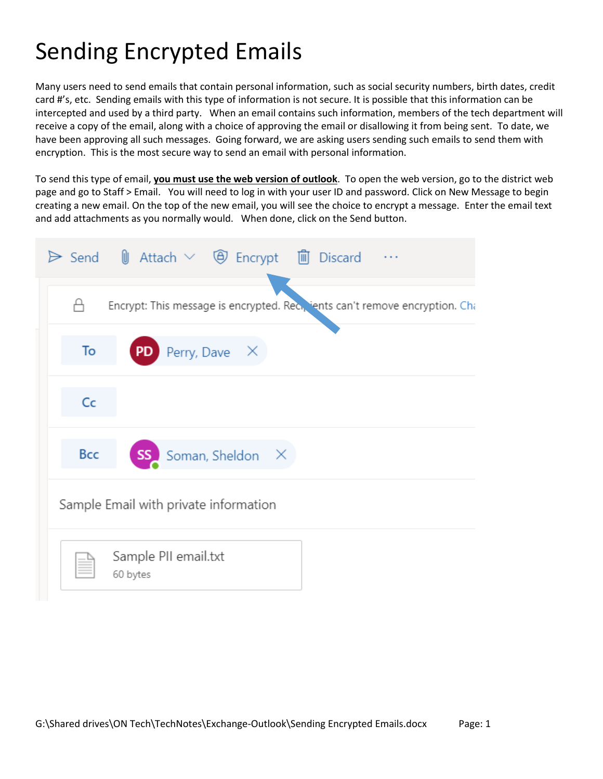## Sending Encrypted Emails

Many users need to send emails that contain personal information, such as social security numbers, birth dates, credit card #'s, etc. Sending emails with this type of information is not secure. It is possible that this information can be intercepted and used by a third party. When an email contains such information, members of the tech department will receive a copy of the email, along with a choice of approving the email or disallowing it from being sent. To date, we have been approving all such messages. Going forward, we are asking users sending such emails to send them with encryption. This is the most secure way to send an email with personal information.

To send this type of email, **you must use the web version of outlook**. To open the web version, go to the district web page and go to Staff > Email. You will need to log in with your user ID and password. Click on New Message to begin creating a new email. On the top of the new email, you will see the choice to encrypt a message. Enter the email text and add attachments as you normally would. When done, click on the Send button.

| $\triangleright$ Send $\parallel$ Attach $\vee$ $\oplus$ Encrypt $\parallel$ Discard |
|--------------------------------------------------------------------------------------|
| Encrypt: This message is encrypted. Rec., ients can't remove encryption. Cha         |
| Perry, Dave X<br>To<br><b>PD</b>                                                     |
| Cc                                                                                   |
| Bcc<br>SS<br>Soman, Sheldon X                                                        |
| Sample Email with private information                                                |
| Sample PII email.txt<br>60 bytes                                                     |